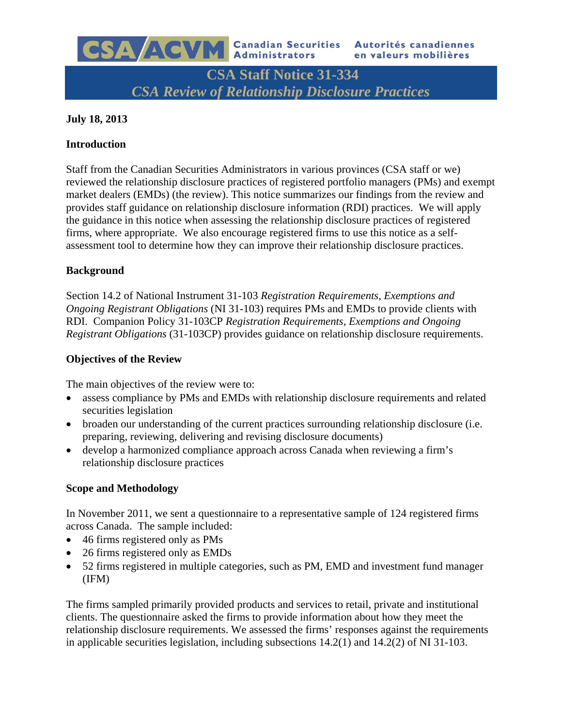CSA ACVM Canadian Securities Autorités canadiennes

 **CSA Staff Notice 31-334**  *CSA Review of Relationship Disclosure Practices* 

#### **July 18, 2013**

#### **Introduction**

Staff from the Canadian Securities Administrators in various provinces (CSA staff or we) reviewed the relationship disclosure practices of registered portfolio managers (PMs) and exempt market dealers (EMDs) (the review). This notice summarizes our findings from the review and provides staff guidance on relationship disclosure information (RDI) practices. We will apply the guidance in this notice when assessing the relationship disclosure practices of registered firms, where appropriate. We also encourage registered firms to use this notice as a selfassessment tool to determine how they can improve their relationship disclosure practices.

### **Background**

Section 14.2 of National Instrument 31-103 *Registration Requirements, Exemptions and Ongoing Registrant Obligations* (NI 31-103) requires PMs and EMDs to provide clients with RDI. Companion Policy 31-103CP *Registration Requirements, Exemptions and Ongoing Registrant Obligations* (31-103CP) provides guidance on relationship disclosure requirements.

#### **Objectives of the Review**

The main objectives of the review were to:

- assess compliance by PMs and EMDs with relationship disclosure requirements and related securities legislation
- broaden our understanding of the current practices surrounding relationship disclosure (i.e. preparing, reviewing, delivering and revising disclosure documents)
- develop a harmonized compliance approach across Canada when reviewing a firm's relationship disclosure practices

#### **Scope and Methodology**

In November 2011, we sent a questionnaire to a representative sample of 124 registered firms across Canada. The sample included:

- 46 firms registered only as PMs
- 26 firms registered only as EMDs
- 52 firms registered in multiple categories, such as PM, EMD and investment fund manager (IFM)

The firms sampled primarily provided products and services to retail, private and institutional clients. The questionnaire asked the firms to provide information about how they meet the relationship disclosure requirements. We assessed the firms' responses against the requirements in applicable securities legislation, including subsections 14.2(1) and 14.2(2) of NI 31-103.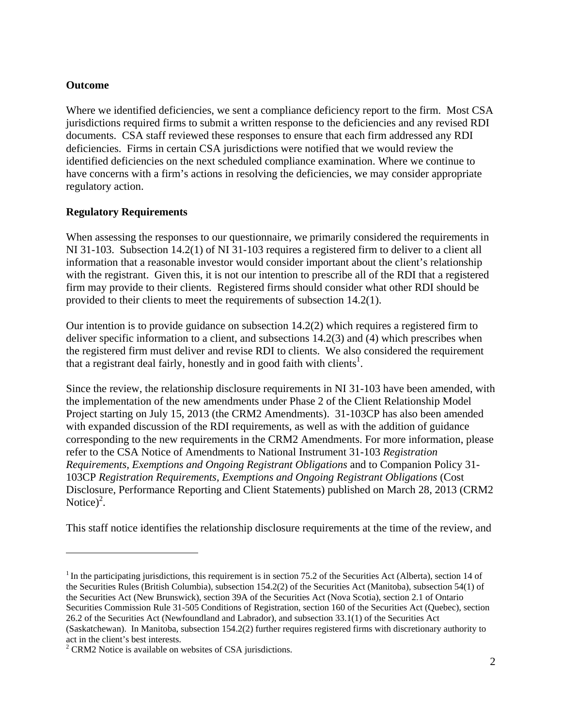#### **Outcome**

 $\overline{a}$ 

Where we identified deficiencies, we sent a compliance deficiency report to the firm. Most CSA jurisdictions required firms to submit a written response to the deficiencies and any revised RDI documents. CSA staff reviewed these responses to ensure that each firm addressed any RDI deficiencies. Firms in certain CSA jurisdictions were notified that we would review the identified deficiencies on the next scheduled compliance examination. Where we continue to have concerns with a firm's actions in resolving the deficiencies, we may consider appropriate regulatory action.

#### **Regulatory Requirements**

When assessing the responses to our questionnaire, we primarily considered the requirements in NI 31-103. Subsection 14.2(1) of NI 31-103 requires a registered firm to deliver to a client all information that a reasonable investor would consider important about the client's relationship with the registrant. Given this, it is not our intention to prescribe all of the RDI that a registered firm may provide to their clients. Registered firms should consider what other RDI should be provided to their clients to meet the requirements of subsection 14.2(1).

Our intention is to provide guidance on subsection 14.2(2) which requires a registered firm to deliver specific information to a client, and subsections 14.2(3) and (4) which prescribes when the registered firm must deliver and revise RDI to clients. We also considered the requirement that a registrant deal fairly, honestly and in good faith with clients<sup>1</sup>.

Since the review, the relationship disclosure requirements in NI 31-103 have been amended, with the implementation of the new amendments under Phase 2 of the Client Relationship Model Project starting on July 15, 2013 (the CRM2 Amendments). 31-103CP has also been amended with expanded discussion of the RDI requirements, as well as with the addition of guidance corresponding to the new requirements in the CRM2 Amendments. For more information, please refer to the CSA Notice of Amendments to National Instrument 31-103 *Registration Requirements, Exemptions and Ongoing Registrant Obligations* and to Companion Policy 31- 103CP *Registration Requirements, Exemptions and Ongoing Registrant Obligations* (Cost Disclosure, Performance Reporting and Client Statements) published on March 28, 2013 (CRM2 Notice $)^2$ .

This staff notice identifies the relationship disclosure requirements at the time of the review, and

 $<sup>1</sup>$  In the participating jurisdictions, this requirement is in section 75.2 of the Securities Act (Alberta), section 14 of</sup> the Securities Rules (British Columbia), subsection 154.2(2) of the Securities Act (Manitoba), subsection 54(1) of the Securities Act (New Brunswick), section 39A of the Securities Act (Nova Scotia), section 2.1 of Ontario Securities Commission Rule 31-505 Conditions of Registration, section 160 of the Securities Act (Quebec), section 26.2 of the Securities Act (Newfoundland and Labrador), and subsection 33.1(1) of the Securities Act (Saskatchewan). In Manitoba, subsection 154.2(2) further requires registered firms with discretionary authority to act in the client's best interests.

 $2^2$  CRM2 Notice is available on websites of CSA jurisdictions.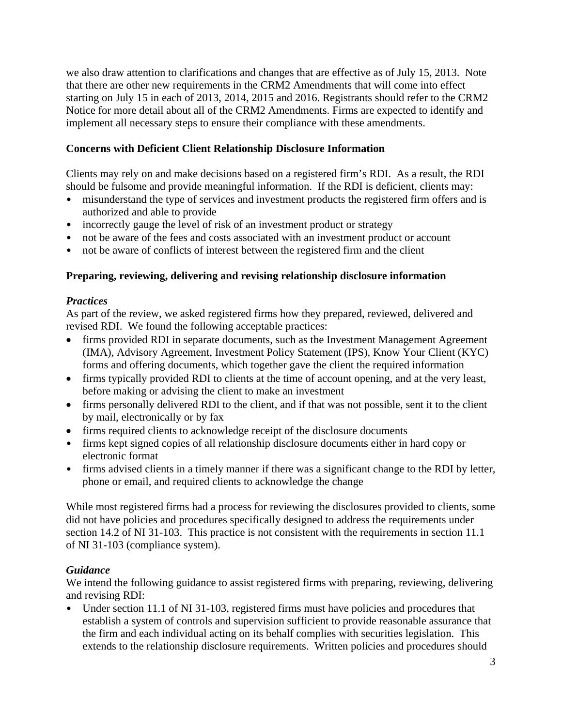we also draw attention to clarifications and changes that are effective as of July 15, 2013. Note that there are other new requirements in the CRM2 Amendments that will come into effect starting on July 15 in each of 2013, 2014, 2015 and 2016. Registrants should refer to the CRM2 Notice for more detail about all of the CRM2 Amendments. Firms are expected to identify and implement all necessary steps to ensure their compliance with these amendments.

#### **Concerns with Deficient Client Relationship Disclosure Information**

Clients may rely on and make decisions based on a registered firm's RDI. As a result, the RDI should be fulsome and provide meaningful information. If the RDI is deficient, clients may:

- misunderstand the type of services and investment products the registered firm offers and is authorized and able to provide
- incorrectly gauge the level of risk of an investment product or strategy
- not be aware of the fees and costs associated with an investment product or account
- not be aware of conflicts of interest between the registered firm and the client

#### **Preparing, reviewing, delivering and revising relationship disclosure information**

#### *Practices*

As part of the review, we asked registered firms how they prepared, reviewed, delivered and revised RDI. We found the following acceptable practices:

- firms provided RDI in separate documents, such as the Investment Management Agreement (IMA), Advisory Agreement, Investment Policy Statement (IPS), Know Your Client (KYC) forms and offering documents, which together gave the client the required information
- firms typically provided RDI to clients at the time of account opening, and at the very least, before making or advising the client to make an investment
- firms personally delivered RDI to the client, and if that was not possible, sent it to the client by mail, electronically or by fax
- firms required clients to acknowledge receipt of the disclosure documents
- firms kept signed copies of all relationship disclosure documents either in hard copy or electronic format
- firms advised clients in a timely manner if there was a significant change to the RDI by letter, phone or email, and required clients to acknowledge the change

While most registered firms had a process for reviewing the disclosures provided to clients, some did not have policies and procedures specifically designed to address the requirements under section 14.2 of NI 31-103. This practice is not consistent with the requirements in section 11.1 of NI 31-103 (compliance system).

#### *Guidance*

We intend the following guidance to assist registered firms with preparing, reviewing, delivering and revising RDI:

Under section 11.1 of NI 31-103, registered firms must have policies and procedures that establish a system of controls and supervision sufficient to provide reasonable assurance that the firm and each individual acting on its behalf complies with securities legislation. This extends to the relationship disclosure requirements. Written policies and procedures should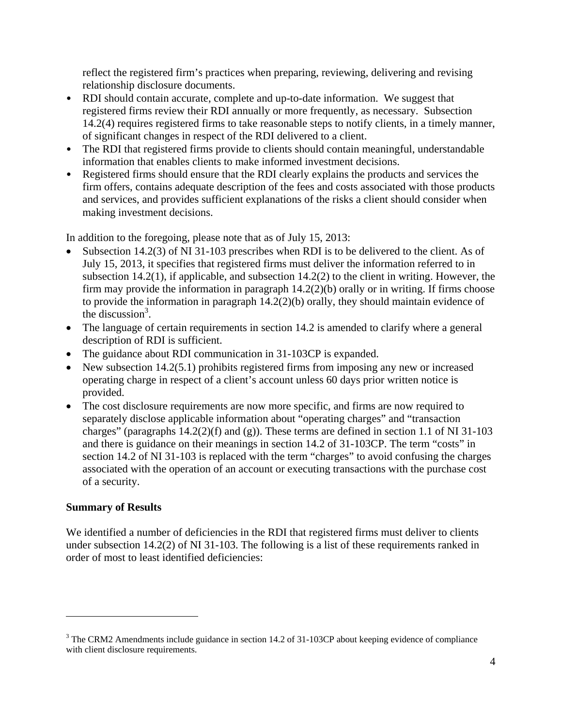reflect the registered firm's practices when preparing, reviewing, delivering and revising relationship disclosure documents.

- RDI should contain accurate, complete and up-to-date information. We suggest that registered firms review their RDI annually or more frequently, as necessary. Subsection 14.2(4) requires registered firms to take reasonable steps to notify clients, in a timely manner, of significant changes in respect of the RDI delivered to a client.
- The RDI that registered firms provide to clients should contain meaningful, understandable information that enables clients to make informed investment decisions.
- Registered firms should ensure that the RDI clearly explains the products and services the firm offers, contains adequate description of the fees and costs associated with those products and services, and provides sufficient explanations of the risks a client should consider when making investment decisions.

In addition to the foregoing, please note that as of July 15, 2013:

- Subsection 14.2(3) of NI 31-103 prescribes when RDI is to be delivered to the client. As of July 15, 2013, it specifies that registered firms must deliver the information referred to in subsection 14.2(1), if applicable, and subsection 14.2(2) to the client in writing. However, the firm may provide the information in paragraph 14.2(2)(b) orally or in writing. If firms choose to provide the information in paragraph 14.2(2)(b) orally, they should maintain evidence of the discussion<sup>3</sup>.
- The language of certain requirements in section 14.2 is amended to clarify where a general description of RDI is sufficient.
- The guidance about RDI communication in 31-103CP is expanded.
- New subsection  $14.2(5.1)$  prohibits registered firms from imposing any new or increased operating charge in respect of a client's account unless 60 days prior written notice is provided.
- The cost disclosure requirements are now more specific, and firms are now required to separately disclose applicable information about "operating charges" and "transaction charges" (paragraphs  $14.2(2)(f)$  and (g)). These terms are defined in section 1.1 of NI 31-103 and there is guidance on their meanings in section 14.2 of 31-103CP. The term "costs" in section 14.2 of NI 31-103 is replaced with the term "charges" to avoid confusing the charges associated with the operation of an account or executing transactions with the purchase cost of a security.

#### **Summary of Results**

1

We identified a number of deficiencies in the RDI that registered firms must deliver to clients under subsection 14.2(2) of NI 31-103. The following is a list of these requirements ranked in order of most to least identified deficiencies:

<sup>&</sup>lt;sup>3</sup> The CRM2 Amendments include guidance in section 14.2 of 31-103CP about keeping evidence of compliance with client disclosure requirements.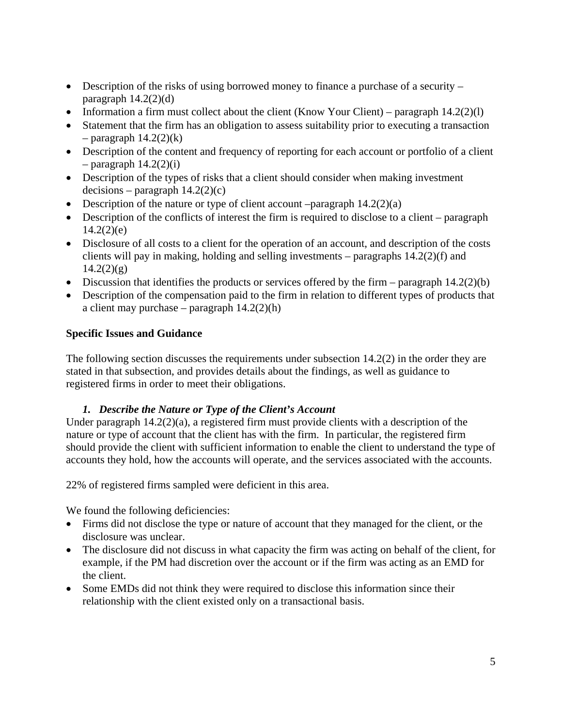- Description of the risks of using borrowed money to finance a purchase of a security paragraph  $14.2(2)(d)$
- Information a firm must collect about the client (Know Your Client) paragraph  $14.2(2)(1)$
- Statement that the firm has an obligation to assess suitability prior to executing a transaction  $-$  paragraph  $14.2(2)(k)$
- Description of the content and frequency of reporting for each account or portfolio of a client  $-$  paragraph  $14.2(2)(i)$
- Description of the types of risks that a client should consider when making investment decisions – paragraph  $14.2(2)(c)$
- Description of the nature or type of client account –paragraph  $14.2(2)(a)$
- Description of the conflicts of interest the firm is required to disclose to a client paragraph  $14.2(2)(e)$
- Disclosure of all costs to a client for the operation of an account, and description of the costs clients will pay in making, holding and selling investments – paragraphs  $14.2(2)(f)$  and  $14.2(2)(g)$
- $\bullet$  Discussion that identifies the products or services offered by the firm paragraph 14.2(2)(b)
- Description of the compensation paid to the firm in relation to different types of products that a client may purchase – paragraph  $14.2(2)(h)$

### **Specific Issues and Guidance**

The following section discusses the requirements under subsection 14.2(2) in the order they are stated in that subsection, and provides details about the findings, as well as guidance to registered firms in order to meet their obligations.

#### *1. Describe the Nature or Type of the Client's Account*

Under paragraph 14.2(2)(a), a registered firm must provide clients with a description of the nature or type of account that the client has with the firm. In particular, the registered firm should provide the client with sufficient information to enable the client to understand the type of accounts they hold, how the accounts will operate, and the services associated with the accounts.

22% of registered firms sampled were deficient in this area.

We found the following deficiencies:

- Firms did not disclose the type or nature of account that they managed for the client, or the disclosure was unclear.
- The disclosure did not discuss in what capacity the firm was acting on behalf of the client, for example, if the PM had discretion over the account or if the firm was acting as an EMD for the client.
- Some EMDs did not think they were required to disclose this information since their relationship with the client existed only on a transactional basis.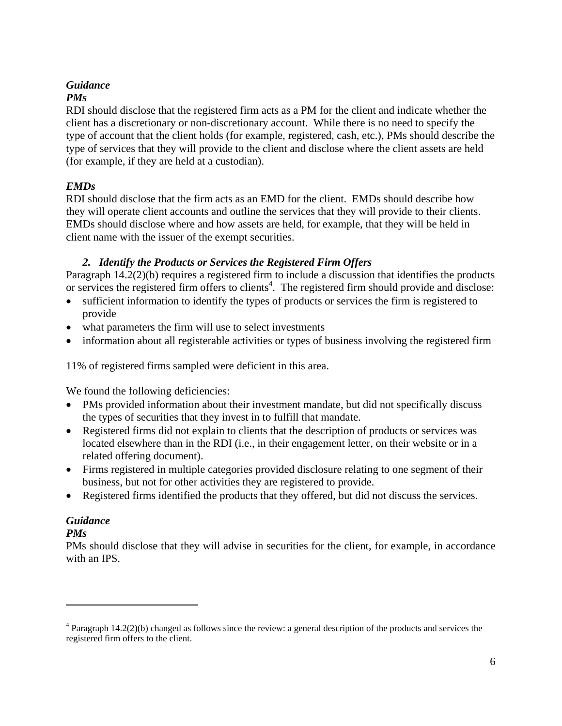#### *Guidance*

#### *PMs*

RDI should disclose that the registered firm acts as a PM for the client and indicate whether the client has a discretionary or non-discretionary account. While there is no need to specify the type of account that the client holds (for example, registered, cash, etc.), PMs should describe the type of services that they will provide to the client and disclose where the client assets are held (for example, if they are held at a custodian).

# *EMDs*

RDI should disclose that the firm acts as an EMD for the client. EMDs should describe how they will operate client accounts and outline the services that they will provide to their clients. EMDs should disclose where and how assets are held, for example, that they will be held in client name with the issuer of the exempt securities.

# *2. Identify the Products or Services the Registered Firm Offers*

Paragraph 14.2(2)(b) requires a registered firm to include a discussion that identifies the products or services the registered firm offers to clients<sup>4</sup>. The registered firm should provide and disclose:

- sufficient information to identify the types of products or services the firm is registered to provide
- what parameters the firm will use to select investments
- information about all registerable activities or types of business involving the registered firm

11% of registered firms sampled were deficient in this area.

We found the following deficiencies:

- PMs provided information about their investment mandate, but did not specifically discuss the types of securities that they invest in to fulfill that mandate.
- Registered firms did not explain to clients that the description of products or services was located elsewhere than in the RDI (i.e., in their engagement letter, on their website or in a related offering document).
- Firms registered in multiple categories provided disclosure relating to one segment of their business, but not for other activities they are registered to provide.
- Registered firms identified the products that they offered, but did not discuss the services.

# *Guidance*

# *PMs*

 $\overline{a}$ 

PMs should disclose that they will advise in securities for the client, for example, in accordance with an IPS.

 $4$  Paragraph 14.2(2)(b) changed as follows since the review: a general description of the products and services the registered firm offers to the client.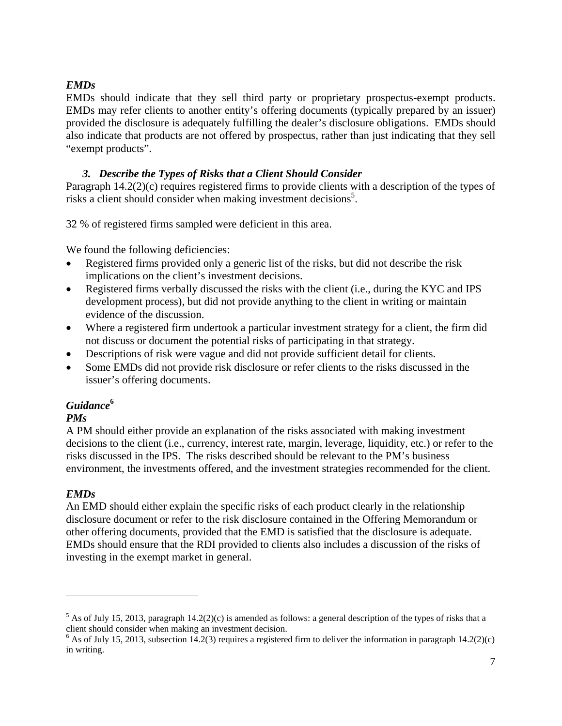#### *EMDs*

EMDs should indicate that they sell third party or proprietary prospectus-exempt products. EMDs may refer clients to another entity's offering documents (typically prepared by an issuer) provided the disclosure is adequately fulfilling the dealer's disclosure obligations. EMDs should also indicate that products are not offered by prospectus, rather than just indicating that they sell "exempt products".

### *3. Describe the Types of Risks that a Client Should Consider*

Paragraph 14.2(2)(c) requires registered firms to provide clients with a description of the types of risks a client should consider when making investment decisions<sup>5</sup>.

32 % of registered firms sampled were deficient in this area.

We found the following deficiencies:

- Registered firms provided only a generic list of the risks, but did not describe the risk implications on the client's investment decisions.
- Registered firms verbally discussed the risks with the client (i.e., during the KYC and IPS development process), but did not provide anything to the client in writing or maintain evidence of the discussion.
- Where a registered firm undertook a particular investment strategy for a client, the firm did not discuss or document the potential risks of participating in that strategy.
- Descriptions of risk were vague and did not provide sufficient detail for clients.
- Some EMDs did not provide risk disclosure or refer clients to the risks discussed in the issuer's offering documents.

# *Guidance***<sup>6</sup>**

#### *PMs*

A PM should either provide an explanation of the risks associated with making investment decisions to the client (i.e., currency, interest rate, margin, leverage, liquidity, etc.) or refer to the risks discussed in the IPS. The risks described should be relevant to the PM's business environment, the investments offered, and the investment strategies recommended for the client.

#### *EMDs*

 $\overline{a}$ 

An EMD should either explain the specific risks of each product clearly in the relationship disclosure document or refer to the risk disclosure contained in the Offering Memorandum or other offering documents, provided that the EMD is satisfied that the disclosure is adequate. EMDs should ensure that the RDI provided to clients also includes a discussion of the risks of investing in the exempt market in general.

 $<sup>5</sup>$  As of July 15, 2013, paragraph 14.2(2)(c) is amended as follows: a general description of the types of risks that a</sup> client should consider when making an investment decision.

 $6$  As of July 15, 2013, subsection 14.2(3) requires a registered firm to deliver the information in paragraph 14.2(2)(c) in writing.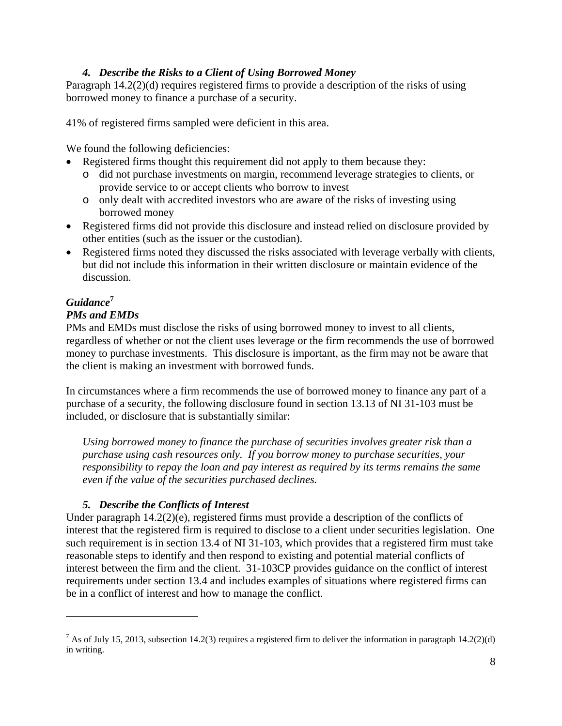#### *4. Describe the Risks to a Client of Using Borrowed Money*

Paragraph 14.2(2)(d) requires registered firms to provide a description of the risks of using borrowed money to finance a purchase of a security.

41% of registered firms sampled were deficient in this area.

We found the following deficiencies:

- Registered firms thought this requirement did not apply to them because they:
	- o did not purchase investments on margin, recommend leverage strategies to clients, or provide service to or accept clients who borrow to invest
	- o only dealt with accredited investors who are aware of the risks of investing using borrowed money
- Registered firms did not provide this disclosure and instead relied on disclosure provided by other entities (such as the issuer or the custodian).
- Registered firms noted they discussed the risks associated with leverage verbally with clients, but did not include this information in their written disclosure or maintain evidence of the discussion.

#### *Guidance***<sup>7</sup>** *PMs and EMDs*

1

PMs and EMDs must disclose the risks of using borrowed money to invest to all clients, regardless of whether or not the client uses leverage or the firm recommends the use of borrowed money to purchase investments. This disclosure is important, as the firm may not be aware that the client is making an investment with borrowed funds.

In circumstances where a firm recommends the use of borrowed money to finance any part of a purchase of a security, the following disclosure found in section 13.13 of NI 31-103 must be included, or disclosure that is substantially similar:

*Using borrowed money to finance the purchase of securities involves greater risk than a purchase using cash resources only. If you borrow money to purchase securities, your responsibility to repay the loan and pay interest as required by its terms remains the same even if the value of the securities purchased declines.* 

#### *5. Describe the Conflicts of Interest*

Under paragraph  $14.2(2)(e)$ , registered firms must provide a description of the conflicts of interest that the registered firm is required to disclose to a client under securities legislation. One such requirement is in section 13.4 of NI 31-103, which provides that a registered firm must take reasonable steps to identify and then respond to existing and potential material conflicts of interest between the firm and the client. 31-103CP provides guidance on the conflict of interest requirements under section 13.4 and includes examples of situations where registered firms can be in a conflict of interest and how to manage the conflict.

<sup>&</sup>lt;sup>7</sup> As of July 15, 2013, subsection 14.2(3) requires a registered firm to deliver the information in paragraph 14.2(2)(d) in writing.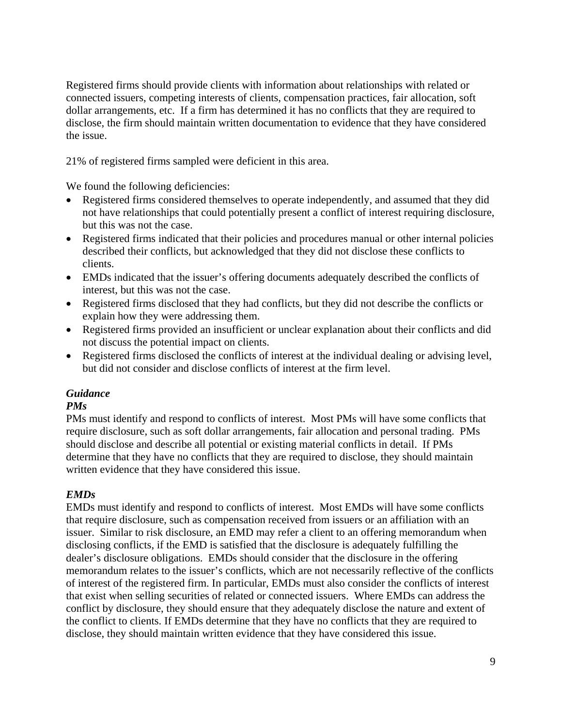Registered firms should provide clients with information about relationships with related or connected issuers, competing interests of clients, compensation practices, fair allocation, soft dollar arrangements, etc. If a firm has determined it has no conflicts that they are required to disclose, the firm should maintain written documentation to evidence that they have considered the issue.

21% of registered firms sampled were deficient in this area.

We found the following deficiencies:

- Registered firms considered themselves to operate independently, and assumed that they did not have relationships that could potentially present a conflict of interest requiring disclosure, but this was not the case.
- Registered firms indicated that their policies and procedures manual or other internal policies described their conflicts, but acknowledged that they did not disclose these conflicts to clients.
- EMDs indicated that the issuer's offering documents adequately described the conflicts of interest, but this was not the case.
- Registered firms disclosed that they had conflicts, but they did not describe the conflicts or explain how they were addressing them.
- Registered firms provided an insufficient or unclear explanation about their conflicts and did not discuss the potential impact on clients.
- Registered firms disclosed the conflicts of interest at the individual dealing or advising level, but did not consider and disclose conflicts of interest at the firm level.

# *Guidance*

#### *PMs*

PMs must identify and respond to conflicts of interest. Most PMs will have some conflicts that require disclosure, such as soft dollar arrangements, fair allocation and personal trading. PMs should disclose and describe all potential or existing material conflicts in detail. If PMs determine that they have no conflicts that they are required to disclose, they should maintain written evidence that they have considered this issue.

#### *EMDs*

EMDs must identify and respond to conflicts of interest. Most EMDs will have some conflicts that require disclosure, such as compensation received from issuers or an affiliation with an issuer. Similar to risk disclosure, an EMD may refer a client to an offering memorandum when disclosing conflicts, if the EMD is satisfied that the disclosure is adequately fulfilling the dealer's disclosure obligations. EMDs should consider that the disclosure in the offering memorandum relates to the issuer's conflicts, which are not necessarily reflective of the conflicts of interest of the registered firm. In particular, EMDs must also consider the conflicts of interest that exist when selling securities of related or connected issuers. Where EMDs can address the conflict by disclosure, they should ensure that they adequately disclose the nature and extent of the conflict to clients. If EMDs determine that they have no conflicts that they are required to disclose, they should maintain written evidence that they have considered this issue.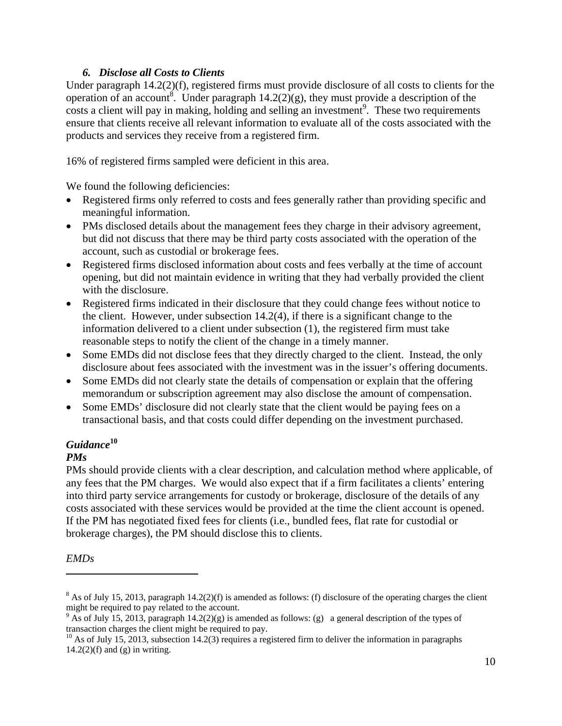#### *6. Disclose all Costs to Clients*

Under paragraph 14.2(2)(f), registered firms must provide disclosure of all costs to clients for the operation of an account<sup>8</sup>. Under paragraph  $14.2(2)(g)$ , they must provide a description of the  $\cos$  a client will pay in making, holding and selling an investment<sup>9</sup>. These two requirements ensure that clients receive all relevant information to evaluate all of the costs associated with the products and services they receive from a registered firm.

16% of registered firms sampled were deficient in this area.

We found the following deficiencies:

- Registered firms only referred to costs and fees generally rather than providing specific and meaningful information.
- PMs disclosed details about the management fees they charge in their advisory agreement, but did not discuss that there may be third party costs associated with the operation of the account, such as custodial or brokerage fees.
- Registered firms disclosed information about costs and fees verbally at the time of account opening, but did not maintain evidence in writing that they had verbally provided the client with the disclosure.
- Registered firms indicated in their disclosure that they could change fees without notice to the client. However, under subsection 14.2(4), if there is a significant change to the information delivered to a client under subsection (1), the registered firm must take reasonable steps to notify the client of the change in a timely manner.
- Some EMDs did not disclose fees that they directly charged to the client. Instead, the only disclosure about fees associated with the investment was in the issuer's offering documents.
- Some EMDs did not clearly state the details of compensation or explain that the offering memorandum or subscription agreement may also disclose the amount of compensation.
- Some EMDs' disclosure did not clearly state that the client would be paying fees on a transactional basis, and that costs could differ depending on the investment purchased.

# *Guidance***<sup>10</sup>**

# *PMs*

PMs should provide clients with a clear description, and calculation method where applicable, of any fees that the PM charges. We would also expect that if a firm facilitates a clients' entering into third party service arrangements for custody or brokerage, disclosure of the details of any costs associated with these services would be provided at the time the client account is opened. If the PM has negotiated fixed fees for clients (i.e., bundled fees, flat rate for custodial or brokerage charges), the PM should disclose this to clients.

*EMDs* 

1

<sup>&</sup>lt;sup>8</sup> As of July 15, 2013, paragraph 14.2(2)(f) is amended as follows: (f) disclosure of the operating charges the client might be required to pay related to the account.

<sup>&</sup>lt;sup>9</sup> As of July 15, 2013, paragraph 14.2(2)(g) is amended as follows: (g) a general description of the types of transaction charges the client might be required to pay.

 $10$  As of July 15, 2013, subsection 14.2(3) requires a registered firm to deliver the information in paragraphs  $14.2(2)(f)$  and  $(g)$  in writing.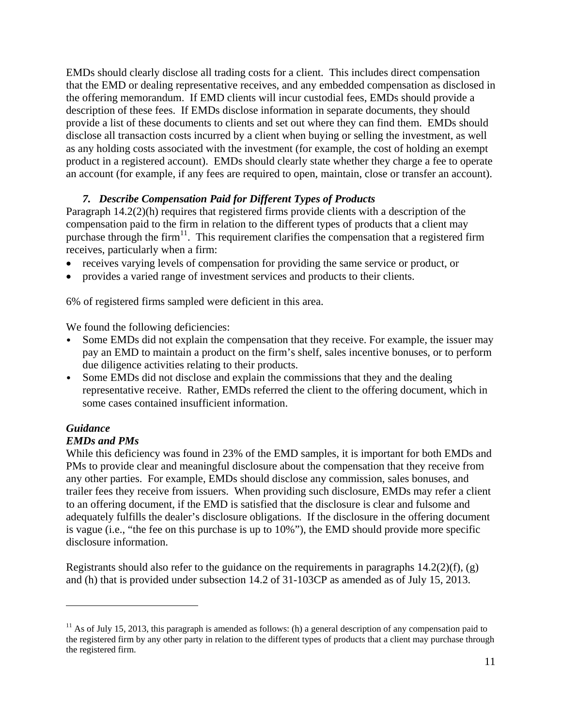EMDs should clearly disclose all trading costs for a client. This includes direct compensation that the EMD or dealing representative receives, and any embedded compensation as disclosed in the offering memorandum. If EMD clients will incur custodial fees, EMDs should provide a description of these fees. If EMDs disclose information in separate documents, they should provide a list of these documents to clients and set out where they can find them. EMDs should disclose all transaction costs incurred by a client when buying or selling the investment, as well as any holding costs associated with the investment (for example, the cost of holding an exempt product in a registered account). EMDs should clearly state whether they charge a fee to operate an account (for example, if any fees are required to open, maintain, close or transfer an account).

### *7. Describe Compensation Paid for Different Types of Products*

Paragraph 14.2(2)(h) requires that registered firms provide clients with a description of the compensation paid to the firm in relation to the different types of products that a client may purchase through the firm $11$ . This requirement clarifies the compensation that a registered firm receives, particularly when a firm:

- receives varying levels of compensation for providing the same service or product, or
- provides a varied range of investment services and products to their clients.

6% of registered firms sampled were deficient in this area.

We found the following deficiencies:

- Some EMDs did not explain the compensation that they receive. For example, the issuer may pay an EMD to maintain a product on the firm's shelf, sales incentive bonuses, or to perform due diligence activities relating to their products.
- Some EMDs did not disclose and explain the commissions that they and the dealing representative receive. Rather, EMDs referred the client to the offering document, which in some cases contained insufficient information.

#### *Guidance*

1

#### *EMDs and PMs*

While this deficiency was found in 23% of the EMD samples, it is important for both EMDs and PMs to provide clear and meaningful disclosure about the compensation that they receive from any other parties. For example, EMDs should disclose any commission, sales bonuses, and trailer fees they receive from issuers. When providing such disclosure, EMDs may refer a client to an offering document, if the EMD is satisfied that the disclosure is clear and fulsome and adequately fulfills the dealer's disclosure obligations. If the disclosure in the offering document is vague (i.e., "the fee on this purchase is up to 10%"), the EMD should provide more specific disclosure information.

Registrants should also refer to the guidance on the requirements in paragraphs  $14.2(2)(f)$ , (g) and (h) that is provided under subsection 14.2 of 31-103CP as amended as of July 15, 2013.

<sup>&</sup>lt;sup>11</sup> As of July 15, 2013, this paragraph is amended as follows: (h) a general description of any compensation paid to the registered firm by any other party in relation to the different types of products that a client may purchase through the registered firm.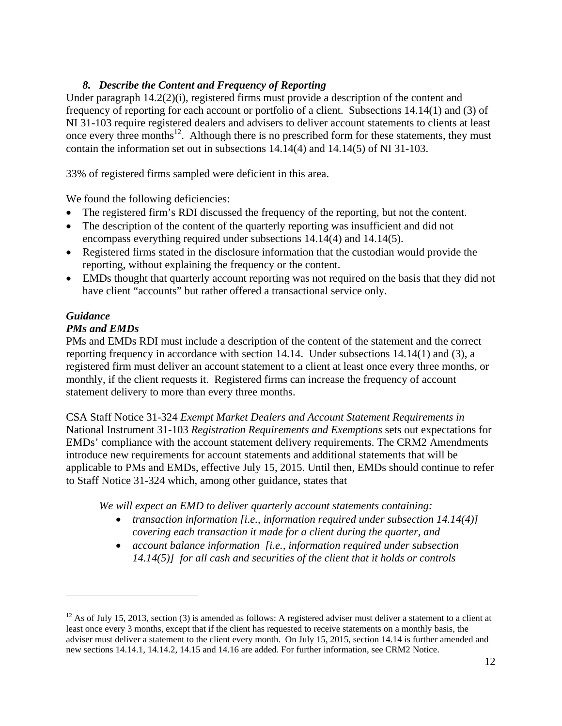### *8. Describe the Content and Frequency of Reporting*

Under paragraph 14.2(2)(i), registered firms must provide a description of the content and frequency of reporting for each account or portfolio of a client. Subsections 14.14(1) and (3) of NI 31-103 require registered dealers and advisers to deliver account statements to clients at least once every three months<sup>12</sup>. Although there is no prescribed form for these statements, they must contain the information set out in subsections 14.14(4) and 14.14(5) of NI 31-103.

33% of registered firms sampled were deficient in this area.

We found the following deficiencies:

- The registered firm's RDI discussed the frequency of the reporting, but not the content.
- The description of the content of the quarterly reporting was insufficient and did not encompass everything required under subsections 14.14(4) and 14.14(5).
- Registered firms stated in the disclosure information that the custodian would provide the reporting, without explaining the frequency or the content.
- EMDs thought that quarterly account reporting was not required on the basis that they did not have client "accounts" but rather offered a transactional service only.

#### *Guidance PMs and EMDs*

 $\overline{a}$ 

PMs and EMDs RDI must include a description of the content of the statement and the correct reporting frequency in accordance with section 14.14. Under subsections 14.14(1) and (3), a registered firm must deliver an account statement to a client at least once every three months, or monthly, if the client requests it. Registered firms can increase the frequency of account statement delivery to more than every three months.

CSA Staff Notice 31-324 *Exempt Market Dealers and Account Statement Requirements in*  National Instrument 31-103 *Registration Requirements and Exemptions* sets out expectations for EMDs' compliance with the account statement delivery requirements. The CRM2 Amendments introduce new requirements for account statements and additional statements that will be applicable to PMs and EMDs, effective July 15, 2015. Until then, EMDs should continue to refer to Staff Notice 31-324 which, among other guidance, states that

*We will expect an EMD to deliver quarterly account statements containing:* 

- *transaction information [i.e., information required under subsection 14.14(4)] covering each transaction it made for a client during the quarter, and*
- *account balance information [i.e., information required under subsection 14.14(5)] for all cash and securities of the client that it holds or controls*

<sup>&</sup>lt;sup>12</sup> As of July 15, 2013, section (3) is amended as follows: A registered adviser must deliver a statement to a client at least once every 3 months, except that if the client has requested to receive statements on a monthly basis, the adviser must deliver a statement to the client every month. On July 15, 2015, section 14.14 is further amended and new sections 14.14.1, 14.14.2, 14.15 and 14.16 are added. For further information, see CRM2 Notice.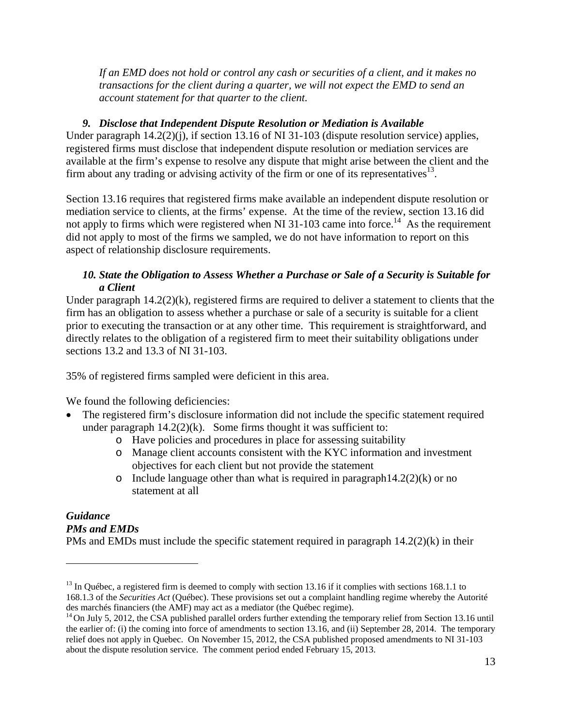*If an EMD does not hold or control any cash or securities of a client, and it makes no transactions for the client during a quarter, we will not expect the EMD to send an account statement for that quarter to the client.* 

# *9. Disclose that Independent Dispute Resolution or Mediation is Available*

Under paragraph 14.2(2)(j), if section 13.16 of NI 31-103 (dispute resolution service) applies, registered firms must disclose that independent dispute resolution or mediation services are available at the firm's expense to resolve any dispute that might arise between the client and the firm about any trading or advising activity of the firm or one of its representatives<sup>13</sup>.

Section 13.16 requires that registered firms make available an independent dispute resolution or mediation service to clients, at the firms' expense. At the time of the review, section 13.16 did not apply to firms which were registered when NI 31-103 came into force.<sup>14</sup> As the requirement did not apply to most of the firms we sampled, we do not have information to report on this aspect of relationship disclosure requirements.

### *10. State the Obligation to Assess Whether a Purchase or Sale of a Security is Suitable for a Client*

Under paragraph  $14.2(2)(k)$ , registered firms are required to deliver a statement to clients that the firm has an obligation to assess whether a purchase or sale of a security is suitable for a client prior to executing the transaction or at any other time. This requirement is straightforward, and directly relates to the obligation of a registered firm to meet their suitability obligations under sections 13.2 and 13.3 of NI 31-103.

35% of registered firms sampled were deficient in this area.

We found the following deficiencies:

- The registered firm's disclosure information did not include the specific statement required under paragraph  $14.2(2)(k)$ . Some firms thought it was sufficient to:
	- o Have policies and procedures in place for assessing suitability
	- o Manage client accounts consistent with the KYC information and investment objectives for each client but not provide the statement
	- o Include language other than what is required in paragraph14.2(2)(k) or no statement at all

# *Guidance*

 $\overline{a}$ 

*PMs and EMDs* 

PMs and EMDs must include the specific statement required in paragraph 14.2(2)(k) in their

 $^{13}$  In Québec, a registered firm is deemed to comply with section 13.16 if it complies with sections 168.1.1 to 168.1.3 of the *Securities Act* (Québec). These provisions set out a complaint handling regime whereby the Autorité des marchés financiers (the AMF) may act as a mediator (the Québec regime).

 $14$  On July 5, 2012, the CSA published parallel orders further extending the temporary relief from Section 13.16 until the earlier of: (i) the coming into force of amendments to section 13.16, and (ii) September 28, 2014. The temporary relief does not apply in Quebec. On November 15, 2012, the CSA published proposed amendments to NI 31-103 about the dispute resolution service. The comment period ended February 15, 2013.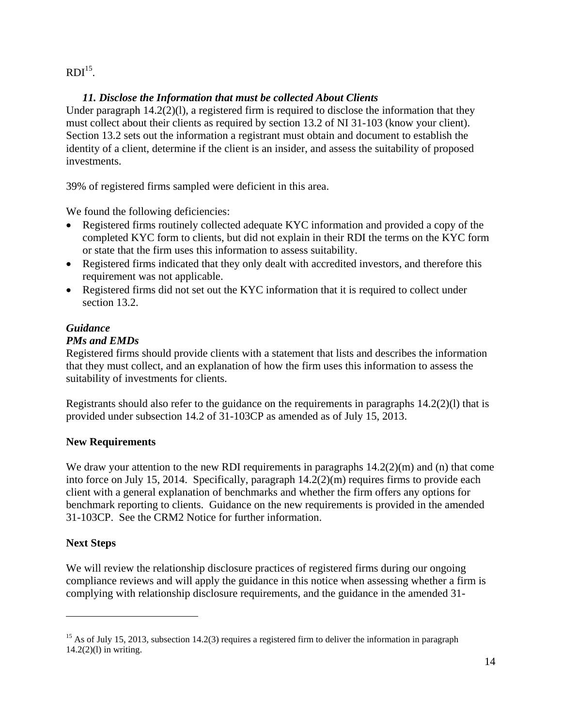$RDI<sup>15</sup>$ .

### *11. Disclose the Information that must be collected About Clients*

Under paragraph  $14.2(2)(1)$ , a registered firm is required to disclose the information that they must collect about their clients as required by section 13.2 of NI 31-103 (know your client). Section 13.2 sets out the information a registrant must obtain and document to establish the identity of a client, determine if the client is an insider, and assess the suitability of proposed investments.

39% of registered firms sampled were deficient in this area.

We found the following deficiencies:

- Registered firms routinely collected adequate KYC information and provided a copy of the completed KYC form to clients, but did not explain in their RDI the terms on the KYC form or state that the firm uses this information to assess suitability.
- Registered firms indicated that they only dealt with accredited investors, and therefore this requirement was not applicable.
- Registered firms did not set out the KYC information that it is required to collect under section 13.2.

# *Guidance*

### *PMs and EMDs*

Registered firms should provide clients with a statement that lists and describes the information that they must collect, and an explanation of how the firm uses this information to assess the suitability of investments for clients.

Registrants should also refer to the guidance on the requirements in paragraphs 14.2(2)(l) that is provided under subsection 14.2 of 31-103CP as amended as of July 15, 2013.

#### **New Requirements**

We draw your attention to the new RDI requirements in paragraphs  $14.2(2)(m)$  and (n) that come into force on July 15, 2014. Specifically, paragraph 14.2(2)(m) requires firms to provide each client with a general explanation of benchmarks and whether the firm offers any options for benchmark reporting to clients. Guidance on the new requirements is provided in the amended 31-103CP. See the CRM2 Notice for further information.

# **Next Steps**

 $\overline{a}$ 

We will review the relationship disclosure practices of registered firms during our ongoing compliance reviews and will apply the guidance in this notice when assessing whether a firm is complying with relationship disclosure requirements, and the guidance in the amended 31-

<sup>&</sup>lt;sup>15</sup> As of July 15, 2013, subsection 14.2(3) requires a registered firm to deliver the information in paragraph 14.2(2)(l) in writing.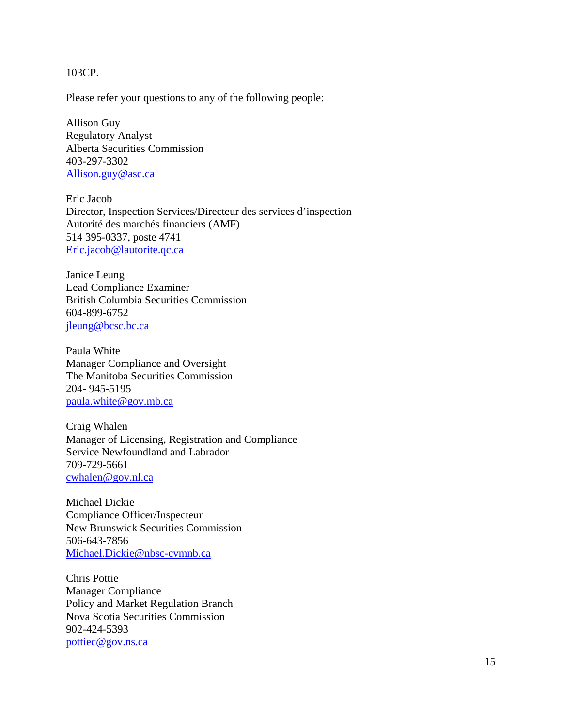103CP.

Please refer your questions to any of the following people:

Allison Guy Regulatory Analyst Alberta Securities Commission 403-297-3302 Allison.guy@asc.ca

Eric Jacob Director, Inspection Services/Directeur des services d'inspection Autorité des marchés financiers (AMF) 514 395-0337, poste 4741 Eric.jacob@lautorite.qc.ca

Janice Leung Lead Compliance Examiner British Columbia Securities Commission 604-899-6752 jleung@bcsc.bc.ca

Paula White Manager Compliance and Oversight The Manitoba Securities Commission 204- 945-5195 paula.white@gov.mb.ca

Craig Whalen Manager of Licensing, Registration and Compliance Service Newfoundland and Labrador 709-729-5661 cwhalen@gov.nl.ca

Michael Dickie Compliance Officer/Inspecteur New Brunswick Securities Commission 506-643-7856 Michael.Dickie@nbsc-cvmnb.ca

Chris Pottie Manager Compliance Policy and Market Regulation Branch Nova Scotia Securities Commission 902-424-5393 pottiec@gov.ns.ca